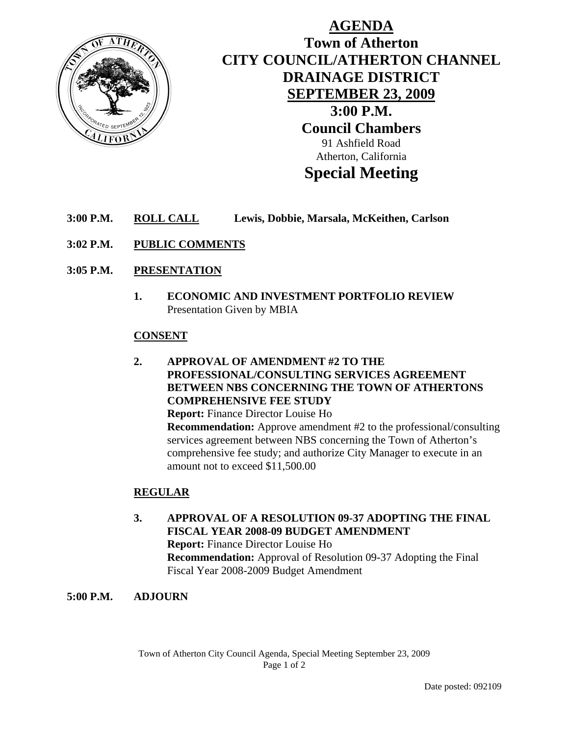

# **AGENDA Town of Atherton CITY COUNCIL/ATHERTON CHANNEL DRAINAGE DISTRICT SEPTEMBER 23, 2009 3:00 P.M. Council Chambers**  91 Ashfield Road Atherton, California **Special Meeting**

## **3:00 P.M. ROLL CALL Lewis, Dobbie, Marsala, McKeithen, Carlson**

**3:02 P.M. PUBLIC COMMENTS**

#### **3:05 P.M. PRESENTATION**

**1. ECONOMIC AND INVESTMENT PORTFOLIO REVIEW**  Presentation Given by MBIA

#### **CONSENT**

**2. APPROVAL OF AMENDMENT #2 TO THE PROFESSIONAL/CONSULTING SERVICES AGREEMENT BETWEEN NBS CONCERNING THE TOWN OF ATHERTONS COMPREHENSIVE FEE STUDY Report:** Finance Director Louise Ho

 **Recommendation:** Approve amendment #2 to the professional/consulting services agreement between NBS concerning the Town of Atherton's comprehensive fee study; and authorize City Manager to execute in an amount not to exceed \$11,500.00

#### **REGULAR**

**3. APPROVAL OF A RESOLUTION 09-37 ADOPTING THE FINAL FISCAL YEAR 2008-09 BUDGET AMENDMENT Report:** Finance Director Louise Ho  **Recommendation:** Approval of Resolution 09-37 Adopting the Final Fiscal Year 2008-2009 Budget Amendment

#### **5:00 P.M. ADJOURN**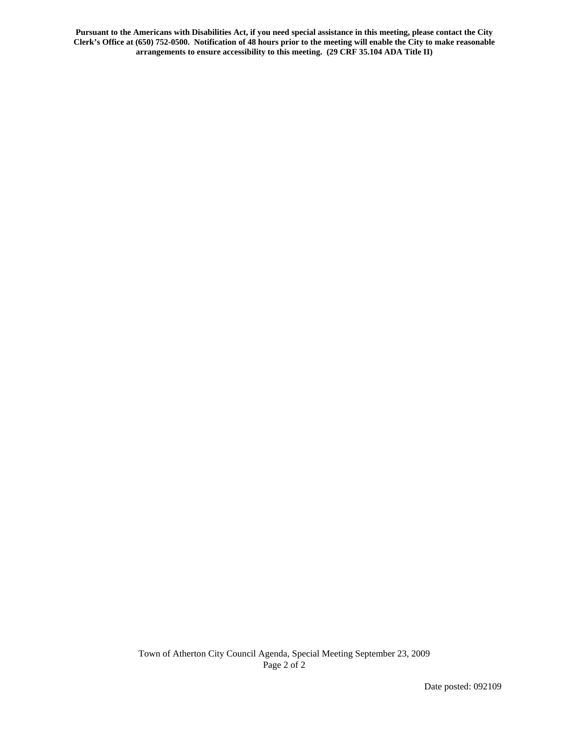**Pursuant to the Americans with Disabilities Act, if you need special assistance in this meeting, please contact the City Clerk's Office at (650) 752-0500. Notification of 48 hours prior to the meeting will enable the City to make reasonable arrangements to ensure accessibility to this meeting. (29 CRF 35.104 ADA Title II)**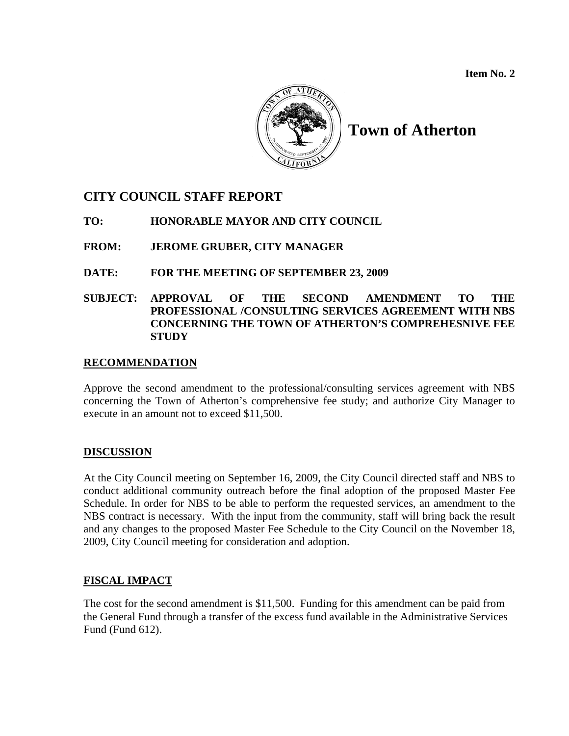**Item No. 2** 



# **Town of Atherton**

## **CITY COUNCIL STAFF REPORT**

## **TO: HONORABLE MAYOR AND CITY COUNCIL**

## **FROM: JEROME GRUBER, CITY MANAGER**

## **DATE: FOR THE MEETING OF SEPTEMBER 23, 2009**

## **SUBJECT: APPROVAL OF THE SECOND AMENDMENT TO THE PROFESSIONAL /CONSULTING SERVICES AGREEMENT WITH NBS CONCERNING THE TOWN OF ATHERTON'S COMPREHESNIVE FEE STUDY**

## **RECOMMENDATION**

Approve the second amendment to the professional/consulting services agreement with NBS concerning the Town of Atherton's comprehensive fee study; and authorize City Manager to execute in an amount not to exceed \$11,500.

#### **DISCUSSION**

At the City Council meeting on September 16, 2009, the City Council directed staff and NBS to conduct additional community outreach before the final adoption of the proposed Master Fee Schedule. In order for NBS to be able to perform the requested services, an amendment to the NBS contract is necessary. With the input from the community, staff will bring back the result and any changes to the proposed Master Fee Schedule to the City Council on the November 18, 2009, City Council meeting for consideration and adoption.

## **FISCAL IMPACT**

The cost for the second amendment is \$11,500. Funding for this amendment can be paid from the General Fund through a transfer of the excess fund available in the Administrative Services Fund (Fund 612).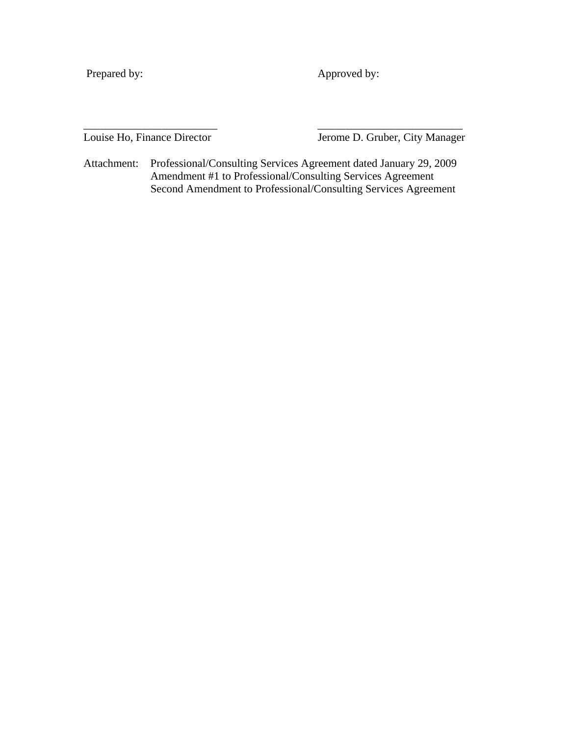Prepared by: Approved by:

Louise Ho, Finance Director Jerome D. Gruber, City Manager

Attachment: Professional/Consulting Services Agreement dated January 29, 2009 Amendment #1 to Professional/Consulting Services Agreement Second Amendment to Professional/Consulting Services Agreement

\_\_\_\_\_\_\_\_\_\_\_\_\_\_\_\_\_\_\_\_\_\_\_\_ \_\_\_\_\_\_\_\_\_\_\_\_\_\_\_\_\_\_\_\_\_\_\_\_\_\_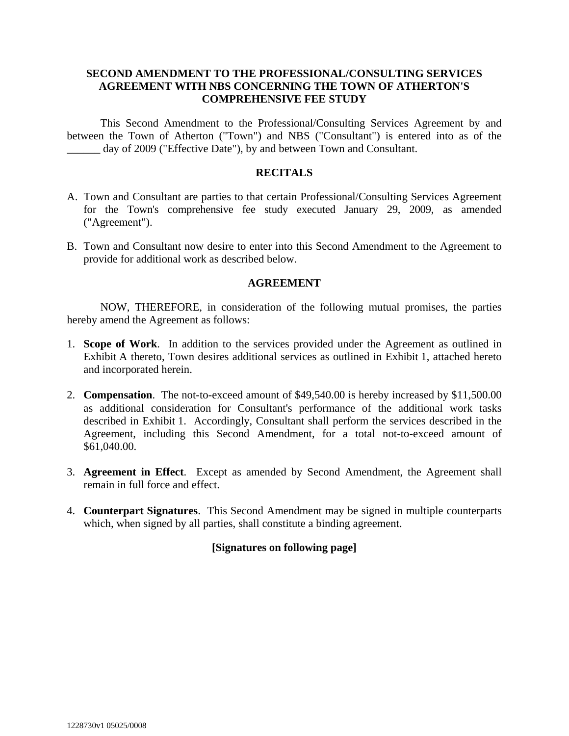#### **SECOND AMENDMENT TO THE PROFESSIONAL/CONSULTING SERVICES AGREEMENT WITH NBS CONCERNING THE TOWN OF ATHERTON'S COMPREHENSIVE FEE STUDY**

 This Second Amendment to the Professional/Consulting Services Agreement by and between the Town of Atherton ("Town") and NBS ("Consultant") is entered into as of the \_\_\_\_\_\_ day of 2009 ("Effective Date"), by and between Town and Consultant.

#### **RECITALS**

- A. Town and Consultant are parties to that certain Professional/Consulting Services Agreement for the Town's comprehensive fee study executed January 29, 2009, as amended ("Agreement").
- B. Town and Consultant now desire to enter into this Second Amendment to the Agreement to provide for additional work as described below.

#### **AGREEMENT**

 NOW, THEREFORE, in consideration of the following mutual promises, the parties hereby amend the Agreement as follows:

- 1. **Scope of Work**. In addition to the services provided under the Agreement as outlined in Exhibit A thereto, Town desires additional services as outlined in Exhibit 1, attached hereto and incorporated herein.
- 2. **Compensation**. The not-to-exceed amount of \$49,540.00 is hereby increased by \$11,500.00 as additional consideration for Consultant's performance of the additional work tasks described in Exhibit 1. Accordingly, Consultant shall perform the services described in the Agreement, including this Second Amendment, for a total not-to-exceed amount of \$61,040.00.
- 3. **Agreement in Effect**. Except as amended by Second Amendment, the Agreement shall remain in full force and effect.
- 4. **Counterpart Signatures**. This Second Amendment may be signed in multiple counterparts which, when signed by all parties, shall constitute a binding agreement.

## **[Signatures on following page]**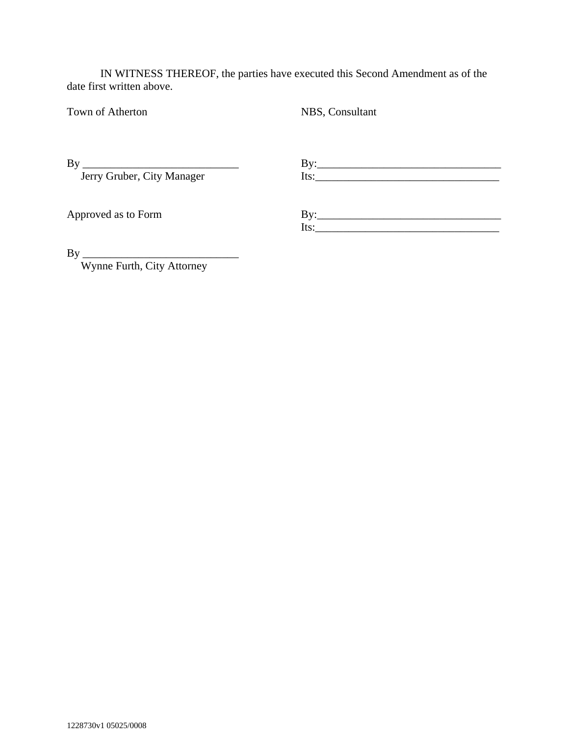IN WITNESS THEREOF, the parties have executed this Second Amendment as of the date first written above.

Town of Atherton NBS, Consultant

 $\n By \n \underline{\hspace{1cm}} By \n \underline{\hspace{1cm}} By \n$ Jerry Gruber, City Manager Its: Its:

Approved as to Form By: By:  $Its:$ 

By \_\_\_\_\_\_\_\_\_\_\_\_\_\_\_\_\_\_\_\_\_\_\_\_\_\_\_\_

Wynne Furth, City Attorney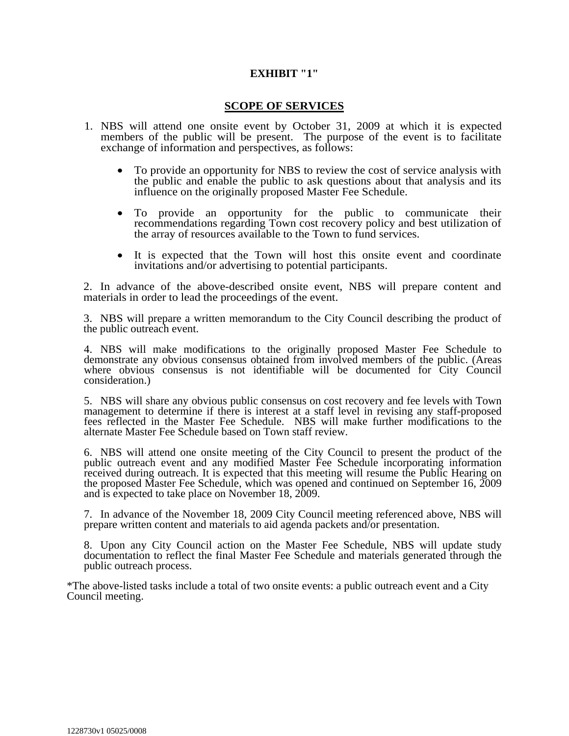#### **EXHIBIT "1"**

#### **SCOPE OF SERVICES**

- 1. NBS will attend one onsite event by October 31, 2009 at which it is expected members of the public will be present. The purpose of the event is to facilitate exchange of information and perspectives, as follows:
	- To provide an opportunity for NBS to review the cost of service analysis with the public and enable the public to ask questions about that analysis and its influence on the originally proposed Master Fee Schedule.
	- To provide an opportunity for the public to communicate their recommendations regarding Town cost recovery policy and best utilization of the array of resources available to the Town to fund services.
	- It is expected that the Town will host this onsite event and coordinate invitations and/or advertising to potential participants.

2. In advance of the above-described onsite event, NBS will prepare content and materials in order to lead the proceedings of the event.

3. NBS will prepare a written memorandum to the City Council describing the product of the public outreach event.

4. NBS will make modifications to the originally proposed Master Fee Schedule to demonstrate any obvious consensus obtained from involved members of the public. (Areas where obvious consensus is not identifiable will be documented for City Council consideration.)

5. NBS will share any obvious public consensus on cost recovery and fee levels with Town management to determine if there is interest at a staff level in revising any staff-proposed fees reflected in the Master Fee Schedule. NBS will make further modifications to the alternate Master Fee Schedule based on Town staff review.

6. NBS will attend one onsite meeting of the City Council to present the product of the public outreach event and any modified Master Fee Schedule incorporating information received during outreach. It is expected that this meeting will resume the Public Hearing on the proposed Master Fee Schedule, which was opened and continued on September 16, 2009 and is expected to take place on November 18, 2009.

7. In advance of the November 18, 2009 City Council meeting referenced above, NBS will prepare written content and materials to aid agenda packets and/or presentation.

8. Upon any City Council action on the Master Fee Schedule, NBS will update study documentation to reflect the final Master Fee Schedule and materials generated through the public outreach process.

\*The above-listed tasks include a total of two onsite events: a public outreach event and a City Council meeting.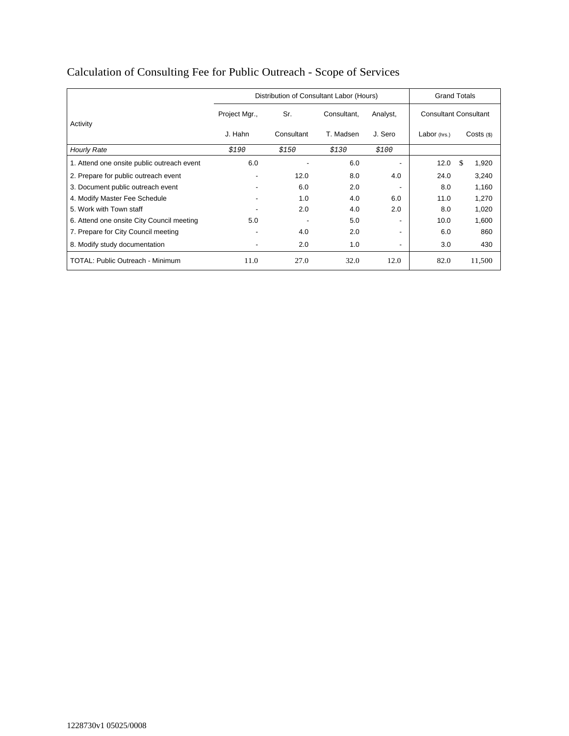|                                            | Distribution of Consultant Labor (Hours) |            |             |          | <b>Grand Totals</b>          |              |
|--------------------------------------------|------------------------------------------|------------|-------------|----------|------------------------------|--------------|
|                                            | Project Mgr.,                            | Sr.        | Consultant. | Analyst, | <b>Consultant Consultant</b> |              |
| Activity                                   | J. Hahn                                  | Consultant | T. Madsen   | J. Sero  | Labor (hrs.)                 | $Costs$ (\$) |
| <b>Hourly Rate</b>                         | \$190                                    | \$150      | \$130       | \$100    |                              |              |
| 1. Attend one onsite public outreach event | 6.0                                      |            | 6.0         |          | 12.0                         | \$<br>1,920  |
| 2. Prepare for public outreach event       | $\overline{\phantom{a}}$                 | 12.0       | 8.0         | 4.0      | 24.0                         | 3,240        |
| 3. Document public outreach event          |                                          | 6.0        | 2.0         |          | 8.0                          | 1,160        |
| 4. Modify Master Fee Schedule              |                                          | 1.0        | 4.0         | 6.0      | 11.0                         | 1,270        |
| 5. Work with Town staff                    |                                          | 2.0        | 4.0         | 2.0      | 8.0                          | 1,020        |
| 6. Attend one onsite City Council meeting  | 5.0                                      |            | 5.0         |          | 10.0                         | 1,600        |
| 7. Prepare for City Council meeting        |                                          | 4.0        | 2.0         | ٠        | 6.0                          | 860          |
| 8. Modify study documentation              | $\overline{\phantom{a}}$                 | 2.0        | 1.0         | -        | 3.0                          | 430          |
| TOTAL: Public Outreach - Minimum           | 11.0                                     | 27.0       | 32.0        | 12.0     | 82.0                         | 11,500       |

# Calculation of Consulting Fee for Public Outreach - Scope of Services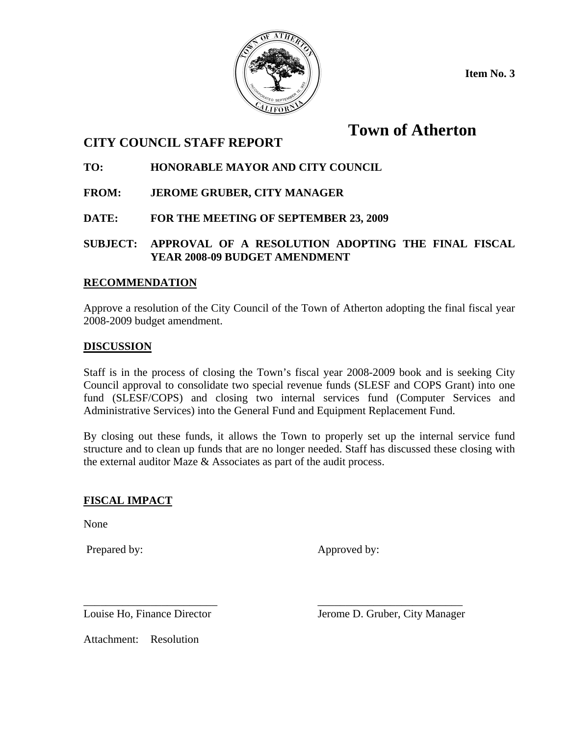

**Item No. 3** 

# **Town of Atherton**

## **CITY COUNCIL STAFF REPORT**

## **TO: HONORABLE MAYOR AND CITY COUNCIL**

- **FROM: JEROME GRUBER, CITY MANAGER**
- **DATE: FOR THE MEETING OF SEPTEMBER 23, 2009**
- **SUBJECT: APPROVAL OF A RESOLUTION ADOPTING THE FINAL FISCAL YEAR 2008-09 BUDGET AMENDMENT**

## **RECOMMENDATION**

Approve a resolution of the City Council of the Town of Atherton adopting the final fiscal year 2008-2009 budget amendment.

## **DISCUSSION**

Staff is in the process of closing the Town's fiscal year 2008-2009 book and is seeking City Council approval to consolidate two special revenue funds (SLESF and COPS Grant) into one fund (SLESF/COPS) and closing two internal services fund (Computer Services and Administrative Services) into the General Fund and Equipment Replacement Fund.

By closing out these funds, it allows the Town to properly set up the internal service fund structure and to clean up funds that are no longer needed. Staff has discussed these closing with the external auditor Maze & Associates as part of the audit process.

## **FISCAL IMPACT**

None

Prepared by: Approved by:

\_\_\_\_\_\_\_\_\_\_\_\_\_\_\_\_\_\_\_\_\_\_\_\_ \_\_\_\_\_\_\_\_\_\_\_\_\_\_\_\_\_\_\_\_\_\_\_\_\_\_

Louise Ho, Finance Director Jerome D. Gruber, City Manager

Attachment: Resolution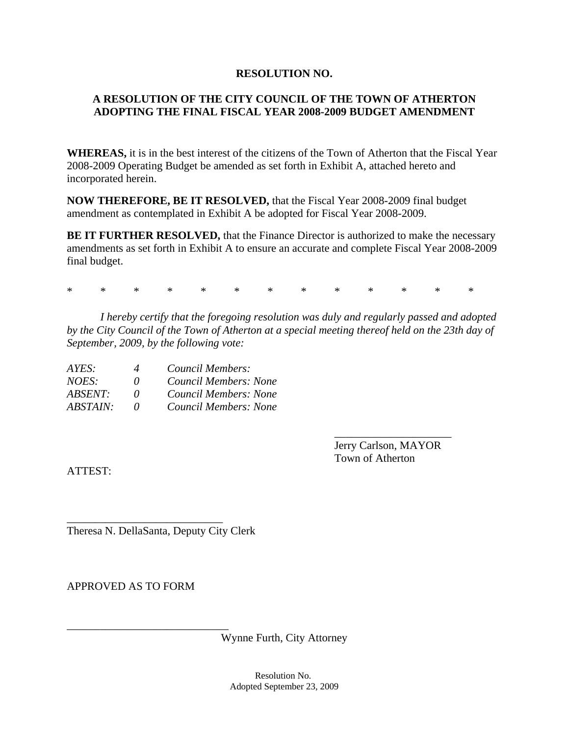#### **RESOLUTION NO.**

## **A RESOLUTION OF THE CITY COUNCIL OF THE TOWN OF ATHERTON ADOPTING THE FINAL FISCAL YEAR 2008-2009 BUDGET AMENDMENT**

**WHEREAS,** it is in the best interest of the citizens of the Town of Atherton that the Fiscal Year 2008-2009 Operating Budget be amended as set forth in Exhibit A, attached hereto and incorporated herein.

**NOW THEREFORE, BE IT RESOLVED,** that the Fiscal Year 2008-2009 final budget amendment as contemplated in Exhibit A be adopted for Fiscal Year 2008-2009.

**BE IT FURTHER RESOLVED, that the Finance Director is authorized to make the necessary** amendments as set forth in Exhibit A to ensure an accurate and complete Fiscal Year 2008-2009 final budget.

\* \* \* \* \* \* \* \* \* \* \* \* \*

\_\_\_\_\_\_\_\_\_\_\_\_\_\_\_\_\_\_\_\_\_

 *I hereby certify that the foregoing resolution was duly and regularly passed and adopted by the City Council of the Town of Atherton at a special meeting thereof held on the 23th day of September, 2009, by the following vote:* 

| AYES:    | 4        | Council Members:      |
|----------|----------|-----------------------|
| NOES:    | $\theta$ | Council Members: None |
| ABSENT:  | $\theta$ | Council Members: None |
| ABSTAIN: | $\theta$ | Council Members: None |

 Jerry Carlson, MAYOR Town of Atherton

ATTEST:

\_\_\_\_\_\_\_\_\_\_\_\_\_\_\_\_\_\_\_\_\_\_\_\_\_\_\_\_ Theresa N. DellaSanta, Deputy City Clerk

APPROVED AS TO FORM

\_\_\_\_\_\_\_\_\_\_\_\_\_\_\_\_\_\_\_\_\_\_\_\_\_\_\_\_\_ Wynne Furth, City Attorney

> Resolution No. Adopted September 23, 2009